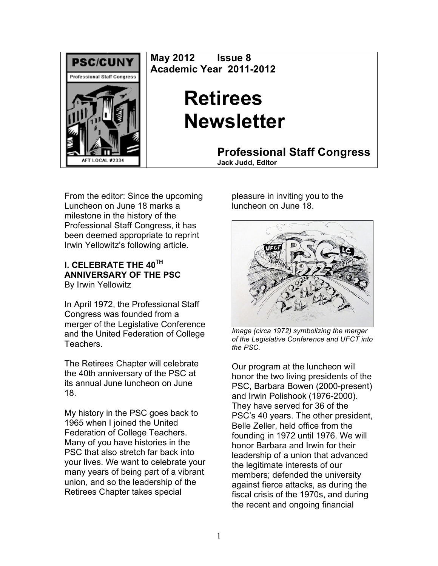

**May 2012 Issue 8 Academic Year 2011-2012**

# **Retirees Newsletter**

**Professional Staff Congress Jack Judd, Editor**

From the editor: Since the upcoming Luncheon on June 18 marks a milestone in the history of the Professional Staff Congress, it has been deemed appropriate to reprint Irwin Yellowitz's following article.

#### **I. CELEBRATE THE 40TH ANNIVERSARY OF THE PSC** By Irwin Yellowitz

In April 1972, the Professional Staff Congress was founded from a merger of the Legislative Conference and the United Federation of College Teachers.

The Retirees Chapter will celebrate the 40th anniversary of the PSC at its annual June luncheon on June 18.

My history in the PSC goes back to 1965 when I joined the United Federation of College Teachers. Many of you have histories in the PSC that also stretch far back into your lives. We want to celebrate your many years of being part of a vibrant union, and so the leadership of the Retirees Chapter takes special

pleasure in inviting you to the luncheon on June 18.



*Image (circa 1972) symbolizing the merger of the Legislative Conference and UFCT into the PSC.*

Our program at the luncheon will honor the two living presidents of the PSC, Barbara Bowen (2000-present) and Irwin Polishook (1976-2000). They have served for 36 of the PSC's 40 years. The other president, Belle Zeller, held office from the founding in 1972 until 1976. We will honor Barbara and Irwin for their leadership of a union that advanced the legitimate interests of our members; defended the university against fierce attacks, as during the fiscal crisis of the 1970s, and during the recent and ongoing financial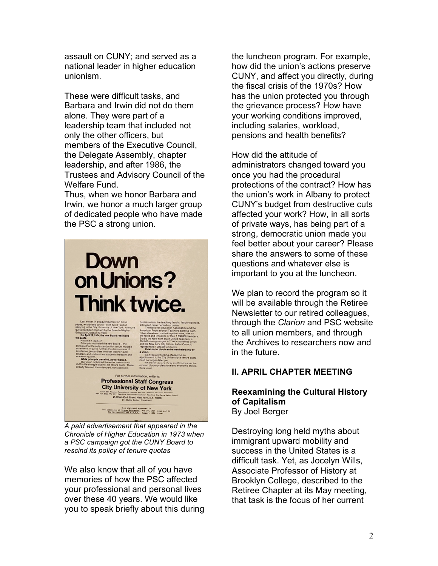assault on CUNY; and served as a national leader in higher education unionism.

These were difficult tasks, and Barbara and Irwin did not do them alone. They were part of a leadership team that included not only the other officers, but members of the Executive Council, the Delegate Assembly, chapter leadership, and after 1986, the Trustees and Advisory Council of the Welfare Fund.

Thus, when we honor Barbara and Irwin, we honor a much larger group of dedicated people who have made the PSC a strong union.



*A paid advertisement that appeared in the Chronicle of Higher Education in 1973 when a PSC campaign got the CUNY Board to rescind its policy of tenure quotas*

We also know that all of you have memories of how the PSC affected your professional and personal lives over these 40 years. We would like you to speak briefly about this during the luncheon program. For example, how did the union's actions preserve CUNY, and affect you directly, during the fiscal crisis of the 1970s? How has the union protected you through the grievance process? How have your working conditions improved, including salaries, workload, pensions and health benefits?

How did the attitude of administrators changed toward you once you had the procedural protections of the contract? How has the union's work in Albany to protect CUNY's budget from destructive cuts affected your work? How, in all sorts of private ways, has being part of a strong, democratic union made you feel better about your career? Please share the answers to some of these questions and whatever else is important to you at the luncheon.

We plan to record the program so it will be available through the Retiree Newsletter to our retired colleagues, through the *Clarion* and PSC website to all union members, and through the Archives to researchers now and in the future.

## **II. APRIL CHAPTER MEETING**

#### **Reexamining the Cultural History of Capitalism** By Joel Berger

Destroying long held myths about immigrant upward mobility and success in the United States is a difficult task. Yet, as Jocelyn Wills, Associate Professor of History at Brooklyn College, described to the Retiree Chapter at its May meeting, that task is the focus of her current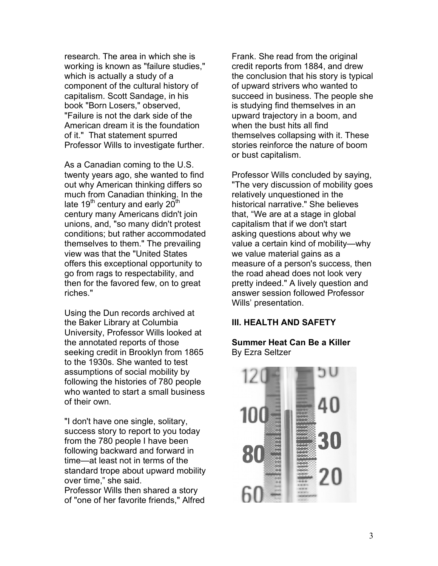research. The area in which she is working is known as "failure studies," which is actually a study of a component of the cultural history of capitalism. Scott Sandage, in his book "Born Losers," observed, "Failure is not the dark side of the American dream it is the foundation of it." That statement spurred Professor Wills to investigate further.

As a Canadian coming to the U.S. twenty years ago, she wanted to find out why American thinking differs so much from Canadian thinking. In the late 19<sup>th</sup> century and early 20<sup>th</sup> century many Americans didn't join unions, and, "so many didn't protest conditions; but rather accommodated themselves to them." The prevailing view was that the "United States offers this exceptional opportunity to go from rags to respectability, and then for the favored few, on to great riches."

Using the Dun records archived at the Baker Library at Columbia University, Professor Wills looked at the annotated reports of those seeking credit in Brooklyn from 1865 to the 1930s. She wanted to test assumptions of social mobility by following the histories of 780 people who wanted to start a small business of their own.

"I don't have one single, solitary, success story to report to you today from the 780 people I have been following backward and forward in time—at least not in terms of the standard trope about upward mobility over time," she said. Professor Wills then shared a story of "one of her favorite friends," Alfred

Frank. She read from the original credit reports from 1884, and drew the conclusion that his story is typical of upward strivers who wanted to succeed in business. The people she is studying find themselves in an upward trajectory in a boom, and when the bust hits all find themselves collapsing with it. These stories reinforce the nature of boom or bust capitalism.

Professor Wills concluded by saying, "The very discussion of mobility goes relatively unquestioned in the historical narrative." She believes that, "We are at a stage in global capitalism that if we don't start asking questions about why we value a certain kind of mobility—why we value material gains as a measure of a person's success, then the road ahead does not look very pretty indeed." A lively question and answer session followed Professor Wills' presentation.

## **III. HEALTH AND SAFETY**

#### **Summer Heat Can Be a Killer** By Ezra Seltzer